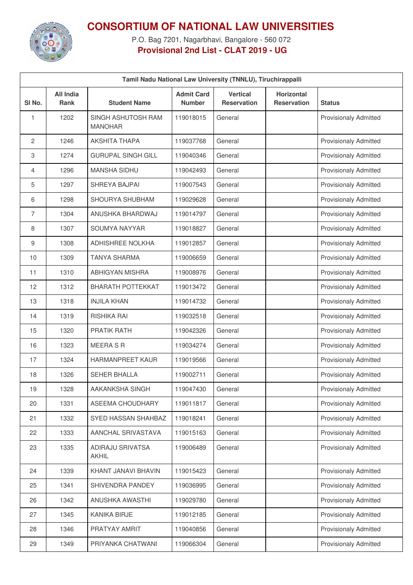

## **CONSORTIUM OF NATIONAL LAW UNIVERSITIES**

P.O. Bag 7201, Nagarbhavi, Bangalore - 560 072 **Provisional 2nd List - CLAT 2019 - UG**

| Tamil Nadu National Law University (TNNLU), Tiruchirappalli |                                 |                                         |                                    |                                       |                                         |                              |  |  |
|-------------------------------------------------------------|---------------------------------|-----------------------------------------|------------------------------------|---------------------------------------|-----------------------------------------|------------------------------|--|--|
| SI No.                                                      | <b>All India</b><br><b>Rank</b> | <b>Student Name</b>                     | <b>Admit Card</b><br><b>Number</b> | <b>Vertical</b><br><b>Reservation</b> | <b>Horizontal</b><br><b>Reservation</b> | <b>Status</b>                |  |  |
| 1                                                           | 1202                            | SINGH ASHUTOSH RAM<br><b>MANOHAR</b>    | 119018015                          | General                               |                                         | <b>Provisionaly Admitted</b> |  |  |
| 2                                                           | 1246                            | <b>AKSHITA THAPA</b>                    | 119037768                          | General                               |                                         | <b>Provisionaly Admitted</b> |  |  |
| 3                                                           | 1274                            | <b>GURUPAL SINGH GILL</b>               | 119040346                          | General                               |                                         | <b>Provisionaly Admitted</b> |  |  |
| 4                                                           | 1296                            | <b>MANSHA SIDHU</b>                     | 119042493                          | General                               |                                         | <b>Provisionaly Admitted</b> |  |  |
| 5                                                           | 1297                            | SHREYA BAJPAI                           | 119007543                          | General                               |                                         | <b>Provisionaly Admitted</b> |  |  |
| 6                                                           | 1298                            | SHOURYA SHUBHAM                         | 119029628                          | General                               |                                         | <b>Provisionaly Admitted</b> |  |  |
| $\overline{7}$                                              | 1304                            | ANUSHKA BHARDWAJ                        | 119014797                          | General                               |                                         | <b>Provisionaly Admitted</b> |  |  |
| 8                                                           | 1307                            | SOUMYA NAYYAR                           | 119018827                          | General                               |                                         | <b>Provisionaly Admitted</b> |  |  |
| 9                                                           | 1308                            | <b>ADHISHREE NOLKHA</b>                 | 119012857                          | General                               |                                         | <b>Provisionaly Admitted</b> |  |  |
| 10                                                          | 1309                            | <b>TANYA SHARMA</b>                     | 119006659                          | General                               |                                         | <b>Provisionaly Admitted</b> |  |  |
| 11                                                          | 1310                            | <b>ABHIGYAN MISHRA</b>                  | 119008976                          | General                               |                                         | <b>Provisionaly Admitted</b> |  |  |
| 12                                                          | 1312                            | <b>BHARATH POTTEKKAT</b>                | 119013472                          | General                               |                                         | <b>Provisionaly Admitted</b> |  |  |
| 13                                                          | 1318                            | <b>INJILA KHAN</b>                      | 119014732                          | General                               |                                         | <b>Provisionaly Admitted</b> |  |  |
| 14                                                          | 1319                            | RISHIKA RAI                             | 119032518                          | General                               |                                         | <b>Provisionaly Admitted</b> |  |  |
| 15                                                          | 1320                            | <b>PRATIK RATH</b>                      | 119042326                          | General                               |                                         | <b>Provisionaly Admitted</b> |  |  |
| 16                                                          | 1323                            | <b>MEERA S R</b>                        | 119034274                          | General                               |                                         | <b>Provisionaly Admitted</b> |  |  |
| 17                                                          | 1324                            | <b>HARMANPREET KAUR</b>                 | 119019566                          | General                               |                                         | <b>Provisionaly Admitted</b> |  |  |
| 18                                                          | 1326                            | <b>SEHER BHALLA</b>                     | 119002711                          | General                               |                                         | <b>Provisionaly Admitted</b> |  |  |
| 19                                                          | 1328                            | AAKANKSHA SINGH                         | 119047430                          | General                               |                                         | <b>Provisionaly Admitted</b> |  |  |
| 20                                                          | 1331                            | ASEEMA CHOUDHARY                        | 119011817                          | General                               |                                         | <b>Provisionaly Admitted</b> |  |  |
| 21                                                          | 1332                            | SYED HASSAN SHAHBAZ                     | 119018241                          | General                               |                                         | <b>Provisionaly Admitted</b> |  |  |
| 22                                                          | 1333                            | AANCHAL SRIVASTAVA                      | 119015163                          | General                               |                                         | Provisionaly Admitted        |  |  |
| 23                                                          | 1335                            | <b>ADIRAJU SRIVATSA</b><br><b>AKHIL</b> | 119006489                          | General                               |                                         | <b>Provisionaly Admitted</b> |  |  |
| 24                                                          | 1339                            | KHANT JANAVI BHAVIN                     | 119015423                          | General                               |                                         | Provisionaly Admitted        |  |  |
| 25                                                          | 1341                            | SHIVENDRA PANDEY                        | 119036995                          | General                               |                                         | Provisionaly Admitted        |  |  |
| 26                                                          | 1342                            | ANUSHKA AWASTHI                         | 119029780                          | General                               |                                         | <b>Provisionaly Admitted</b> |  |  |
| 27                                                          | 1345                            | KANIKA BIRJE                            | 119012185                          | General                               |                                         | Provisionaly Admitted        |  |  |
| 28                                                          | 1346                            | PRATYAY AMRIT                           | 119040856                          | General                               |                                         | Provisionaly Admitted        |  |  |
| 29                                                          | 1349                            | PRIYANKA CHATWANI                       | 119066304                          | General                               |                                         | Provisionaly Admitted        |  |  |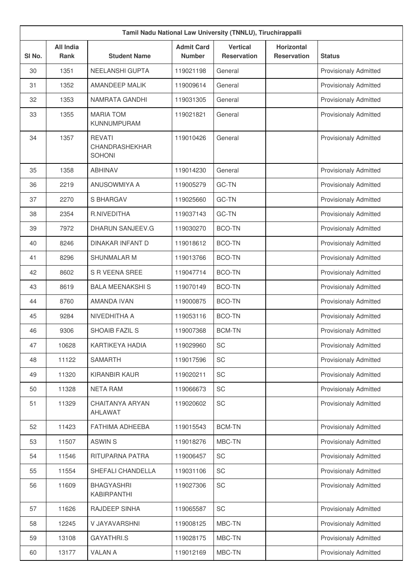|        | Tamil Nadu National Law University (TNNLU), Tiruchirappalli |                                                  |                                    |                                       |                                         |                              |  |  |
|--------|-------------------------------------------------------------|--------------------------------------------------|------------------------------------|---------------------------------------|-----------------------------------------|------------------------------|--|--|
| SI No. | <b>All India</b><br>Rank                                    | <b>Student Name</b>                              | <b>Admit Card</b><br><b>Number</b> | <b>Vertical</b><br><b>Reservation</b> | <b>Horizontal</b><br><b>Reservation</b> | <b>Status</b>                |  |  |
| 30     | 1351                                                        | NEELANSHI GUPTA                                  | 119021198                          | General                               |                                         | <b>Provisionaly Admitted</b> |  |  |
| 31     | 1352                                                        | <b>AMANDEEP MALIK</b>                            | 119009614                          | General                               |                                         | <b>Provisionaly Admitted</b> |  |  |
| 32     | 1353                                                        | NAMRATA GANDHI                                   | 119031305                          | General                               |                                         | <b>Provisionaly Admitted</b> |  |  |
| 33     | 1355                                                        | <b>MARIA TOM</b><br>KUNNUMPURAM                  | 119021821                          | General                               |                                         | <b>Provisionaly Admitted</b> |  |  |
| 34     | 1357                                                        | <b>REVATI</b><br>CHANDRASHEKHAR<br><b>SOHONI</b> | 119010426                          | General                               |                                         | Provisionaly Admitted        |  |  |
| 35     | 1358                                                        | <b>ABHINAV</b>                                   | 119014230                          | General                               |                                         | <b>Provisionaly Admitted</b> |  |  |
| 36     | 2219                                                        | <b>ANUSOWMIYA A</b>                              | 119005279                          | GC-TN                                 |                                         | <b>Provisionaly Admitted</b> |  |  |
| 37     | 2270                                                        | <b>S BHARGAV</b>                                 | 119025660                          | GC-TN                                 |                                         | <b>Provisionaly Admitted</b> |  |  |
| 38     | 2354                                                        | R.NIVEDITHA                                      | 119037143                          | GC-TN                                 |                                         | <b>Provisionaly Admitted</b> |  |  |
| 39     | 7972                                                        | DHARUN SANJEEV.G                                 | 119030270                          | <b>BCO-TN</b>                         |                                         | <b>Provisionaly Admitted</b> |  |  |
| 40     | 8246                                                        | <b>DINAKAR INFANT D</b>                          | 119018612                          | <b>BCO-TN</b>                         |                                         | <b>Provisionaly Admitted</b> |  |  |
| 41     | 8296                                                        | <b>SHUNMALAR M</b>                               | 119013766                          | <b>BCO-TN</b>                         |                                         | <b>Provisionaly Admitted</b> |  |  |
| 42     | 8602                                                        | S R VEENA SREE                                   | 119047714                          | <b>BCO-TN</b>                         |                                         | <b>Provisionaly Admitted</b> |  |  |
| 43     | 8619                                                        | <b>BALA MEENAKSHI S</b>                          | 119070149                          | <b>BCO-TN</b>                         |                                         | <b>Provisionaly Admitted</b> |  |  |
| 44     | 8760                                                        | <b>AMANDA IVAN</b>                               | 119000875                          | <b>BCO-TN</b>                         |                                         | Provisionaly Admitted        |  |  |
| 45     | 9284                                                        | NIVEDHITHA A                                     | 119053116                          | <b>BCO-TN</b>                         |                                         | <b>Provisionaly Admitted</b> |  |  |
| 46     | 9306                                                        | <b>SHOAIB FAZIL S</b>                            | 119007368                          | <b>BCM-TN</b>                         |                                         | <b>Provisionaly Admitted</b> |  |  |
| 47     | 10628                                                       | KARTIKEYA HADIA                                  | 119029960                          | SC                                    |                                         | <b>Provisionaly Admitted</b> |  |  |
| 48     | 11122                                                       | <b>SAMARTH</b>                                   | 119017596                          | <b>SC</b>                             |                                         | <b>Provisionaly Admitted</b> |  |  |
| 49     | 11320                                                       | KIRANBIR KAUR                                    | 119020211                          | SC                                    |                                         | Provisionaly Admitted        |  |  |
| 50     | 11328                                                       | <b>NETA RAM</b>                                  | 119066673                          | <b>SC</b>                             |                                         | <b>Provisionaly Admitted</b> |  |  |
| 51     | 11329                                                       | CHAITANYA ARYAN<br>AHLAWAT                       | 119020602                          | SC                                    |                                         | <b>Provisionaly Admitted</b> |  |  |
| 52     | 11423                                                       | FATHIMA ADHEEBA                                  | 119015543                          | <b>BCM-TN</b>                         |                                         | <b>Provisionaly Admitted</b> |  |  |
| 53     | 11507                                                       | <b>ASWINS</b>                                    | 119018276                          | MBC-TN                                |                                         | <b>Provisionaly Admitted</b> |  |  |
| 54     | 11546                                                       | RITUPARNA PATRA                                  | 119006457                          | SC                                    |                                         | <b>Provisionaly Admitted</b> |  |  |
| 55     | 11554                                                       | SHEFALI CHANDELLA                                | 119031106                          | SC                                    |                                         | <b>Provisionaly Admitted</b> |  |  |
| 56     | 11609                                                       | <b>BHAGYASHRI</b><br>KABIRPANTHI                 | 119027306                          | SC                                    |                                         | <b>Provisionaly Admitted</b> |  |  |
| 57     | 11626                                                       | RAJDEEP SINHA                                    | 119065587                          | SC                                    |                                         | Provisionaly Admitted        |  |  |
| 58     | 12245                                                       | V JAYAVARSHNI                                    | 119008125                          | MBC-TN                                |                                         | Provisionaly Admitted        |  |  |
| 59     | 13108                                                       | <b>GAYATHRI.S</b>                                | 119028175                          | MBC-TN                                |                                         | Provisionaly Admitted        |  |  |
| 60     | 13177                                                       | <b>VALAN A</b>                                   | 119012169                          | MBC-TN                                |                                         | Provisionaly Admitted        |  |  |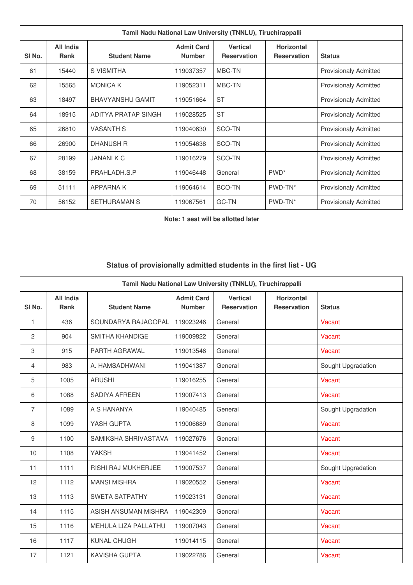|                   | Tamil Nadu National Law University (TNNLU), Tiruchirappalli |                         |                                    |                                       |                                         |                              |  |  |
|-------------------|-------------------------------------------------------------|-------------------------|------------------------------------|---------------------------------------|-----------------------------------------|------------------------------|--|--|
| SI <sub>No.</sub> | All India<br><b>Rank</b>                                    | <b>Student Name</b>     | <b>Admit Card</b><br><b>Number</b> | <b>Vertical</b><br><b>Reservation</b> | <b>Horizontal</b><br><b>Reservation</b> | <b>Status</b>                |  |  |
| 61                | 15440                                                       | S VISMITHA              | 119037357                          | MBC-TN                                |                                         | <b>Provisionaly Admitted</b> |  |  |
| 62                | 15565                                                       | <b>MONICA K</b>         | 119052311                          | MBC-TN                                |                                         | <b>Provisionaly Admitted</b> |  |  |
| 63                | 18497                                                       | <b>BHAVYANSHU GAMIT</b> | 119051664                          | <b>ST</b>                             |                                         | <b>Provisionaly Admitted</b> |  |  |
| 64                | 18915                                                       | ADITYA PRATAP SINGH     | 119028525                          | <b>ST</b>                             |                                         | <b>Provisionaly Admitted</b> |  |  |
| 65                | 26810                                                       | <b>VASANTH S</b>        | 119040630                          | SCO-TN                                |                                         | <b>Provisionaly Admitted</b> |  |  |
| 66                | 26900                                                       | <b>DHANUSH R</b>        | 119054638                          | SCO-TN                                |                                         | <b>Provisionaly Admitted</b> |  |  |
| 67                | 28199                                                       | <b>JANANIK C</b>        | 119016279                          | SCO-TN                                |                                         | <b>Provisionaly Admitted</b> |  |  |
| 68                | 38159                                                       | PRAHLADH.S.P            | 119046448                          | General                               | PWD <sup>*</sup>                        | <b>Provisionaly Admitted</b> |  |  |
| 69                | 51111                                                       | <b>APPARNAK</b>         | 119064614                          | BCO-TN                                | PWD-TN*                                 | <b>Provisionaly Admitted</b> |  |  |
| 70                | 56152                                                       | <b>SETHURAMAN S</b>     | 119067561                          | <b>GC-TN</b>                          | PWD-TN*                                 | <b>Provisionaly Admitted</b> |  |  |

**Note: 1 seat will be allotted later**

## **Status of provisionally admitted students in the first list - UG**

| Tamil Nadu National Law University (TNNLU), Tiruchirappalli |                                 |                        |                                    |                                       |                                         |                    |  |
|-------------------------------------------------------------|---------------------------------|------------------------|------------------------------------|---------------------------------------|-----------------------------------------|--------------------|--|
| SI <sub>No.</sub>                                           | <b>All India</b><br><b>Rank</b> | <b>Student Name</b>    | <b>Admit Card</b><br><b>Number</b> | <b>Vertical</b><br><b>Reservation</b> | <b>Horizontal</b><br><b>Reservation</b> | <b>Status</b>      |  |
| 1                                                           | 436                             | SOUNDARYA RAJAGOPAL    | 119023246                          | General                               |                                         | Vacant             |  |
| 2                                                           | 904                             | <b>SMITHA KHANDIGE</b> | 119009822                          | General                               |                                         | Vacant             |  |
| 3                                                           | 915                             | PARTH AGRAWAL          | 119013546                          | General                               |                                         | Vacant             |  |
| 4                                                           | 983                             | A. HAMSADHWANI         | 119041387                          | General                               |                                         | Sought Upgradation |  |
| 5                                                           | 1005                            | <b>ARUSHI</b>          | 119016255                          | General                               |                                         | Vacant             |  |
| 6                                                           | 1088                            | SADIYA AFREEN          | 119007413                          | General                               |                                         | Vacant             |  |
| 7                                                           | 1089                            | A S HANANYA            | 119040485                          | General                               |                                         | Sought Upgradation |  |
| 8                                                           | 1099                            | YASH GUPTA             | 119006689                          | General                               |                                         | Vacant             |  |
| 9                                                           | 1100                            | SAMIKSHA SHRIVASTAVA   | 119027676                          | General                               |                                         | Vacant             |  |
| 10                                                          | 1108                            | <b>YAKSH</b>           | 119041452                          | General                               |                                         | Vacant             |  |
| 11                                                          | 1111                            | RISHI RAJ MUKHERJEE    | 119007537                          | General                               |                                         | Sought Upgradation |  |
| 12                                                          | 1112                            | <b>MANSI MISHRA</b>    | 119020552                          | General                               |                                         | Vacant             |  |
| 13                                                          | 1113                            | <b>SWETA SATPATHY</b>  | 119023131                          | General                               |                                         | Vacant             |  |
| 14                                                          | 1115                            | ASISH ANSUMAN MISHRA   | 119042309                          | General                               |                                         | Vacant             |  |
| 15                                                          | 1116                            | MEHULA LIZA PALLATHU   | 119007043                          | General                               |                                         | Vacant             |  |
| 16                                                          | 1117                            | <b>KUNAL CHUGH</b>     | 119014115                          | General                               |                                         | Vacant             |  |
| 17                                                          | 1121                            | <b>KAVISHA GUPTA</b>   | 119022786                          | General                               |                                         | Vacant             |  |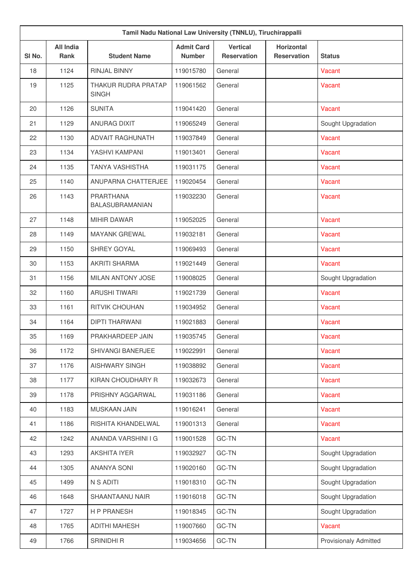| SI <sub>No.</sub> | <b>All India</b><br><b>Rank</b> | <b>Student Name</b>                 | <b>Admit Card</b><br><b>Number</b> | <b>Vertical</b><br><b>Reservation</b> | Horizontal<br><b>Reservation</b> | <b>Status</b>                |
|-------------------|---------------------------------|-------------------------------------|------------------------------------|---------------------------------------|----------------------------------|------------------------------|
| 18                | 1124                            | <b>RINJAL BINNY</b>                 | 119015780                          | General                               |                                  | Vacant                       |
| 19                | 1125                            | THAKUR RUDRA PRATAP<br><b>SINGH</b> | 119061562                          | General                               |                                  | Vacant                       |
| 20                | 1126                            | <b>SUNITA</b>                       | 119041420                          | General                               |                                  | Vacant                       |
| 21                | 1129                            | <b>ANURAG DIXIT</b>                 | 119065249                          | General                               |                                  | Sought Upgradation           |
| 22                | 1130                            | <b>ADVAIT RAGHUNATH</b>             | 119037849                          | General                               |                                  | Vacant                       |
| 23                | 1134                            | YASHVI KAMPANI                      | 119013401                          | General                               |                                  | Vacant                       |
| 24                | 1135                            | <b>TANYA VASHISTHA</b>              | 119031175                          | General                               |                                  | Vacant                       |
| 25                | 1140                            | ANUPARNA CHATTERJEE                 | 119020454                          | General                               |                                  | Vacant                       |
| 26                | 1143                            | PRARTHANA<br>BALASUBRAMANIAN        | 119032230                          | General                               |                                  | Vacant                       |
| 27                | 1148                            | <b>MIHIR DAWAR</b>                  | 119052025                          | General                               |                                  | Vacant                       |
| 28                | 1149                            | <b>MAYANK GREWAL</b>                | 119032181                          | General                               |                                  | Vacant                       |
| 29                | 1150                            | SHREY GOYAL                         | 119069493                          | General                               |                                  | Vacant                       |
| 30                | 1153                            | <b>AKRITI SHARMA</b>                | 119021449                          | General                               |                                  | Vacant                       |
| 31                | 1156                            | MILAN ANTONY JOSE                   | 119008025                          | General                               |                                  | Sought Upgradation           |
| 32                | 1160                            | <b>ARUSHI TIWARI</b>                | 119021739                          | General                               |                                  | Vacant                       |
| 33                | 1161                            | RITVIK CHOUHAN                      | 119034952                          | General                               |                                  | Vacant                       |
| 34                | 1164                            | <b>DIPTI THARWANI</b>               | 119021883                          | General                               |                                  | Vacant                       |
| 35                | 1169                            | PRAKHARDEEP JAIN                    | 119035745                          | General                               |                                  | Vacant                       |
| 36                | 1172                            | SHIVANGI BANERJEE                   | 119022991                          | General                               |                                  | Vacant                       |
| 37                | 1176                            | AISHWARY SINGH                      | 119038892                          | General                               |                                  | Vacant                       |
| 38                | 1177                            | KIRAN CHOUDHARY R                   | 119032673                          | General                               |                                  | Vacant                       |
| 39                | 1178                            | PRISHNY AGGARWAL                    | 119031186                          | General                               |                                  | Vacant                       |
| 40                | 1183                            | MUSKAAN JAIN                        | 119016241                          | General                               |                                  | Vacant                       |
| 41                | 1186                            | RISHITA KHANDELWAL                  | 119001313                          | General                               |                                  | Vacant                       |
| 42                | 1242                            | ANANDA VARSHINI I G                 | 119001528                          | GC-TN                                 |                                  | Vacant                       |
| 43                | 1293                            | <b>AKSHITA IYER</b>                 | 119032927                          | GC-TN                                 |                                  | Sought Upgradation           |
| 44                | 1305                            | ANANYA SONI                         | 119020160                          | GC-TN                                 |                                  | Sought Upgradation           |
| 45                | 1499                            | N S ADITI                           | 119018310                          | GC-TN                                 |                                  | Sought Upgradation           |
| 46                | 1648                            | SHAANTAANU NAIR                     | 119016018                          | GC-TN                                 |                                  | Sought Upgradation           |
| 47                | 1727                            | H P PRANESH                         | 119018345                          | GC-TN                                 |                                  | Sought Upgradation           |
| 48                | 1765                            | <b>ADITHI MAHESH</b>                | 119007660                          | GC-TN                                 |                                  | Vacant                       |
| 49                | 1766                            | SRINIDHI R                          | 119034656                          | GC-TN                                 |                                  | <b>Provisionaly Admitted</b> |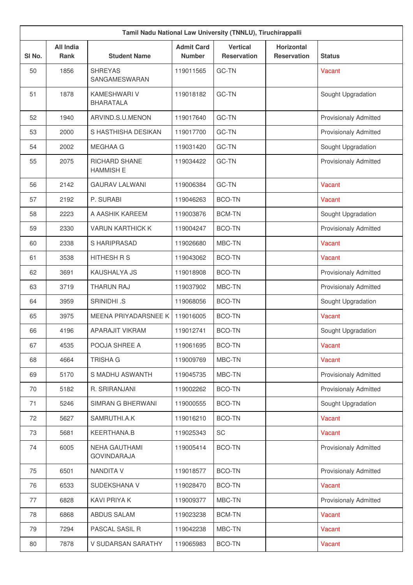|        | Tamil Nadu National Law University (TNNLU), Tiruchirappalli |                                            |                                    |                                       |                                         |                              |  |  |  |
|--------|-------------------------------------------------------------|--------------------------------------------|------------------------------------|---------------------------------------|-----------------------------------------|------------------------------|--|--|--|
| SI No. | <b>All India</b><br><b>Rank</b>                             | <b>Student Name</b>                        | <b>Admit Card</b><br><b>Number</b> | <b>Vertical</b><br><b>Reservation</b> | <b>Horizontal</b><br><b>Reservation</b> | <b>Status</b>                |  |  |  |
| 50     | 1856                                                        | <b>SHREYAS</b><br>SANGAMESWARAN            | 119011565                          | <b>GC-TN</b>                          |                                         | Vacant                       |  |  |  |
| 51     | 1878                                                        | <b>KAMESHWARI V</b><br><b>BHARATALA</b>    | 119018182                          | <b>GC-TN</b>                          |                                         | Sought Upgradation           |  |  |  |
| 52     | 1940                                                        | ARVIND.S.U.MENON                           | 119017640                          | GC-TN                                 |                                         | <b>Provisionaly Admitted</b> |  |  |  |
| 53     | 2000                                                        | S HASTHISHA DESIKAN                        | 119017700                          | GC-TN                                 |                                         | <b>Provisionaly Admitted</b> |  |  |  |
| 54     | 2002                                                        | <b>MEGHAA G</b>                            | 119031420                          | GC-TN                                 |                                         | Sought Upgradation           |  |  |  |
| 55     | 2075                                                        | <b>RICHARD SHANE</b><br><b>HAMMISH E</b>   | 119034422                          | <b>GC-TN</b>                          |                                         | <b>Provisionaly Admitted</b> |  |  |  |
| 56     | 2142                                                        | <b>GAURAV LALWANI</b>                      | 119006384                          | GC-TN                                 |                                         | Vacant                       |  |  |  |
| 57     | 2192                                                        | P. SURABI                                  | 119046263                          | <b>BCO-TN</b>                         |                                         | Vacant                       |  |  |  |
| 58     | 2223                                                        | A AASHIK KAREEM                            | 119003876                          | <b>BCM-TN</b>                         |                                         | Sought Upgradation           |  |  |  |
| 59     | 2330                                                        | <b>VARUN KARTHICK K</b>                    | 119004247                          | <b>BCO-TN</b>                         |                                         | <b>Provisionaly Admitted</b> |  |  |  |
| 60     | 2338                                                        | S HARIPRASAD                               | 119026680                          | MBC-TN                                |                                         | Vacant                       |  |  |  |
| 61     | 3538                                                        | HITHESH R S                                | 119043062                          | <b>BCO-TN</b>                         |                                         | Vacant                       |  |  |  |
| 62     | 3691                                                        | KAUSHALYA JS                               | 119018908                          | <b>BCO-TN</b>                         |                                         | <b>Provisionaly Admitted</b> |  |  |  |
| 63     | 3719                                                        | <b>THARUN RAJ</b>                          | 119037902                          | MBC-TN                                |                                         | <b>Provisionaly Admitted</b> |  |  |  |
| 64     | 3959                                                        | SRINIDHI .S                                | 119068056                          | <b>BCO-TN</b>                         |                                         | Sought Upgradation           |  |  |  |
| 65     | 3975                                                        | MEENA PRIYADARSNEE K                       | 119016005                          | <b>BCO-TN</b>                         |                                         | Vacant                       |  |  |  |
| 66     | 4196                                                        | <b>APARAJIT VIKRAM</b>                     | 119012741                          | <b>BCO-TN</b>                         |                                         | Sought Upgradation           |  |  |  |
| 67     | 4535                                                        | POOJA SHREE A                              | 119061695                          | <b>BCO-TN</b>                         |                                         | Vacant                       |  |  |  |
| 68     | 4664                                                        | <b>TRISHA G</b>                            | 119009769                          | MBC-TN                                |                                         | Vacant                       |  |  |  |
| 69     | 5170                                                        | S MADHU ASWANTH                            | 119045735                          | MBC-TN                                |                                         | Provisionaly Admitted        |  |  |  |
| 70     | 5182                                                        | R. SRIRANJANI                              | 119002262                          | <b>BCO-TN</b>                         |                                         | Provisionaly Admitted        |  |  |  |
| 71     | 5246                                                        | SIMRAN G BHERWANI                          | 119000555                          | <b>BCO-TN</b>                         |                                         | Sought Upgradation           |  |  |  |
| 72     | 5627                                                        | SAMRUTHI.A.K                               | 119016210                          | <b>BCO-TN</b>                         |                                         | Vacant                       |  |  |  |
| 73     | 5681                                                        | KEERTHANA.B                                | 119025343                          | SC                                    |                                         | Vacant                       |  |  |  |
| 74     | 6005                                                        | <b>NEHA GAUTHAMI</b><br><b>GOVINDARAJA</b> | 119005414                          | <b>BCO-TN</b>                         |                                         | <b>Provisionaly Admitted</b> |  |  |  |
| 75     | 6501                                                        | <b>NANDITA V</b>                           | 119018577                          | <b>BCO-TN</b>                         |                                         | Provisionaly Admitted        |  |  |  |
| 76     | 6533                                                        | SUDEKSHANA V                               | 119028470                          | BCO-TN                                |                                         | Vacant                       |  |  |  |
| 77     | 6828                                                        | <b>KAVI PRIYA K</b>                        | 119009377                          | MBC-TN                                |                                         | Provisionaly Admitted        |  |  |  |
| 78     | 6868                                                        | ABDUS SALAM                                | 119023238                          | <b>BCM-TN</b>                         |                                         | Vacant                       |  |  |  |
| 79     | 7294                                                        | PASCAL SASIL R                             | 119042238                          | MBC-TN                                |                                         | Vacant                       |  |  |  |
| 80     | 7878                                                        | V SUDARSAN SARATHY                         | 119065983                          | BCO-TN                                |                                         | Vacant                       |  |  |  |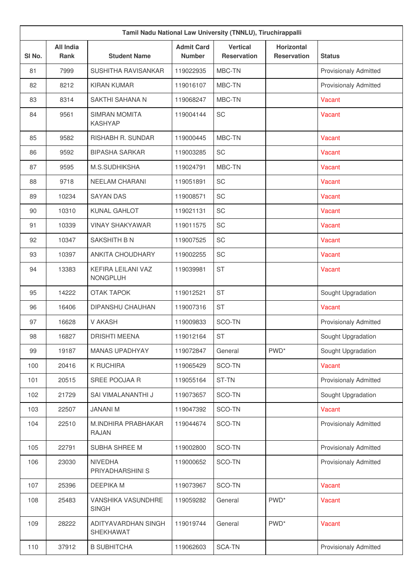| Tamil Nadu National Law University (TNNLU), Tiruchirappalli |                                 |                                        |                                    |                                       |                                         |                              |  |  |
|-------------------------------------------------------------|---------------------------------|----------------------------------------|------------------------------------|---------------------------------------|-----------------------------------------|------------------------------|--|--|
| SI No.                                                      | <b>All India</b><br><b>Rank</b> | <b>Student Name</b>                    | <b>Admit Card</b><br><b>Number</b> | <b>Vertical</b><br><b>Reservation</b> | <b>Horizontal</b><br><b>Reservation</b> | <b>Status</b>                |  |  |
| 81                                                          | 7999                            | SUSHITHA RAVISANKAR                    | 119022935                          | MBC-TN                                |                                         | <b>Provisionaly Admitted</b> |  |  |
| 82                                                          | 8212                            | <b>KIRAN KUMAR</b>                     | 119016107                          | MBC-TN                                |                                         | <b>Provisionaly Admitted</b> |  |  |
| 83                                                          | 8314                            | SAKTHI SAHANA N                        | 119068247                          | MBC-TN                                |                                         | Vacant                       |  |  |
| 84                                                          | 9561                            | <b>SIMRAN MOMITA</b><br><b>KASHYAP</b> | 119004144                          | SC                                    |                                         | Vacant                       |  |  |
| 85                                                          | 9582                            | RISHABH R. SUNDAR                      | 119000445                          | MBC-TN                                |                                         | Vacant                       |  |  |
| 86                                                          | 9592                            | <b>BIPASHA SARKAR</b>                  | 119003285                          | SC                                    |                                         | Vacant                       |  |  |
| 87                                                          | 9595                            | M.S.SUDHIKSHA                          | 119024791                          | MBC-TN                                |                                         | Vacant                       |  |  |
| 88                                                          | 9718                            | NEELAM CHARANI                         | 119051891                          | SC                                    |                                         | Vacant                       |  |  |
| 89                                                          | 10234                           | <b>SAYAN DAS</b>                       | 119008571                          | SC                                    |                                         | Vacant                       |  |  |
| 90                                                          | 10310                           | <b>KUNAL GAHLOT</b>                    | 119021131                          | SC                                    |                                         | Vacant                       |  |  |
| 91                                                          | 10339                           | <b>VINAY SHAKYAWAR</b>                 | 119011575                          | SC                                    |                                         | Vacant                       |  |  |
| 92                                                          | 10347                           | SAKSHITH B N                           | 119007525                          | SC                                    |                                         | Vacant                       |  |  |
| 93                                                          | 10397                           | ANKITA CHOUDHARY                       | 119002255                          | SC                                    |                                         | Vacant                       |  |  |
| 94                                                          | 13383                           | KEFIRA LEILANI VAZ<br><b>NONGPLUH</b>  | 119039981                          | <b>ST</b>                             |                                         | Vacant                       |  |  |
| 95                                                          | 14222                           | <b>OTAK TAPOK</b>                      | 119012521                          | <b>ST</b>                             |                                         | Sought Upgradation           |  |  |
| 96                                                          | 16406                           | DIPANSHU CHAUHAN                       | 119007316                          | <b>ST</b>                             |                                         | Vacant                       |  |  |
| 97                                                          | 16628                           | V AKASH                                | 119009833                          | SCO-TN                                |                                         | <b>Provisionaly Admitted</b> |  |  |
| 98                                                          | 16827                           | <b>DRISHTI MEENA</b>                   | 119012164                          | <b>ST</b>                             |                                         | Sought Upgradation           |  |  |
| 99                                                          | 19187                           | MANAS UPADHYAY                         | 119072847                          | General                               | PWD <sup>*</sup>                        | Sought Upgradation           |  |  |
| 100                                                         | 20416                           | K RUCHIRA                              | 119065429                          | SCO-TN                                |                                         | Vacant                       |  |  |
| 101                                                         | 20515                           | SREE POOJAA R                          | 119055164                          | ST-TN                                 |                                         | Provisionaly Admitted        |  |  |
| 102                                                         | 21729                           | SAI VIMALANANTHI J                     | 119073657                          | SCO-TN                                |                                         | Sought Upgradation           |  |  |
| 103                                                         | 22507                           | <b>JANANI M</b>                        | 119047392                          | SCO-TN                                |                                         | Vacant                       |  |  |
| 104                                                         | 22510                           | M.INDHIRA PRABHAKAR<br><b>RAJAN</b>    | 119044674                          | SCO-TN                                |                                         | <b>Provisionaly Admitted</b> |  |  |
| 105                                                         | 22791                           | SUBHA SHREE M                          | 119002800                          | SCO-TN                                |                                         | Provisionaly Admitted        |  |  |
| 106                                                         | 23030                           | <b>NIVEDHA</b><br>PRIYADHARSHINI S     | 119000652                          | SCO-TN                                |                                         | <b>Provisionaly Admitted</b> |  |  |
| 107                                                         | 25396                           | DEEPIKA M                              | 119073967                          | SCO-TN                                |                                         | Vacant                       |  |  |
| 108                                                         | 25483                           | VANSHIKA VASUNDHRE<br><b>SINGH</b>     | 119059282                          | General                               | PWD <sup>*</sup>                        | Vacant                       |  |  |
| 109                                                         | 28222                           | ADITYAVARDHAN SINGH<br>SHEKHAWAT       | 119019744                          | General                               | PWD <sup>*</sup>                        | Vacant                       |  |  |
| 110                                                         | 37912                           | <b>B SUBHITCHA</b>                     | 119062603                          | SCA-TN                                |                                         | <b>Provisionaly Admitted</b> |  |  |